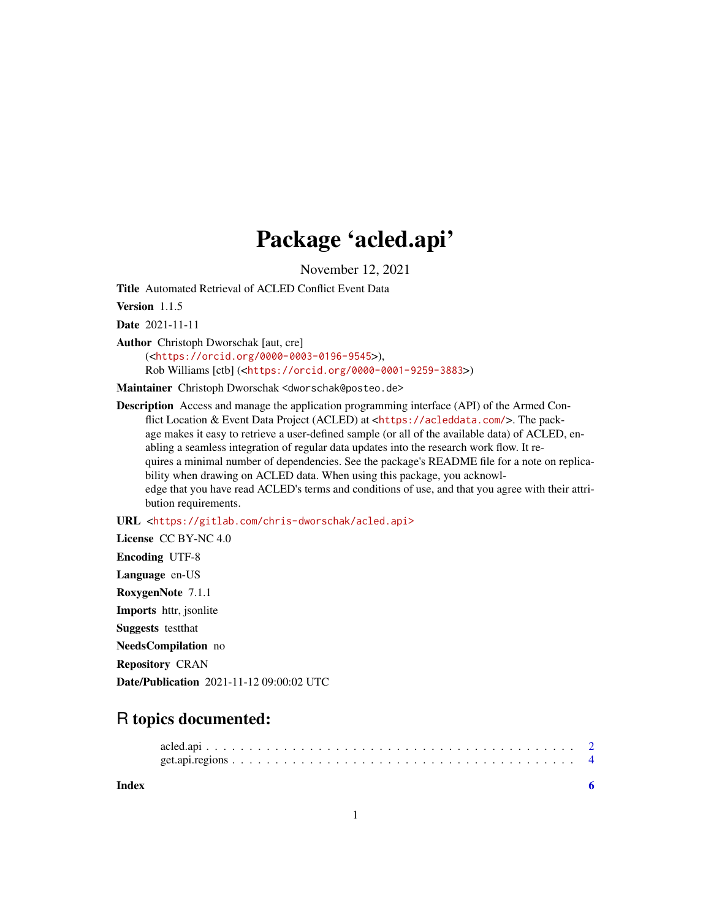## Package 'acled.api'

November 12, 2021

Title Automated Retrieval of ACLED Conflict Event Data

Version 1.1.5

Date 2021-11-11

Author Christoph Dworschak [aut, cre]

(<<https://orcid.org/0000-0003-0196-9545>>), Rob Williams [ctb] (<<https://orcid.org/0000-0001-9259-3883>>)

Maintainer Christoph Dworschak <dworschak@posteo.de>

Description Access and manage the application programming interface (API) of the Armed Conflict Location & Event Data Project (ACLED) at <<https://acleddata.com/>>. The package makes it easy to retrieve a user-defined sample (or all of the available data) of ACLED, enabling a seamless integration of regular data updates into the research work flow. It requires a minimal number of dependencies. See the package's README file for a note on replicability when drawing on ACLED data. When using this package, you acknowledge that you have read ACLED's terms and conditions of use, and that you agree with their attribution requirements.

URL <<https://gitlab.com/chris-dworschak/acled.api>>

License CC BY-NC 4.0 Encoding UTF-8 Language en-US RoxygenNote 7.1.1 Imports httr, jsonlite Suggests testthat NeedsCompilation no Repository CRAN Date/Publication 2021-11-12 09:00:02 UTC

### R topics documented:

**Index** [6](#page-5-0) **6**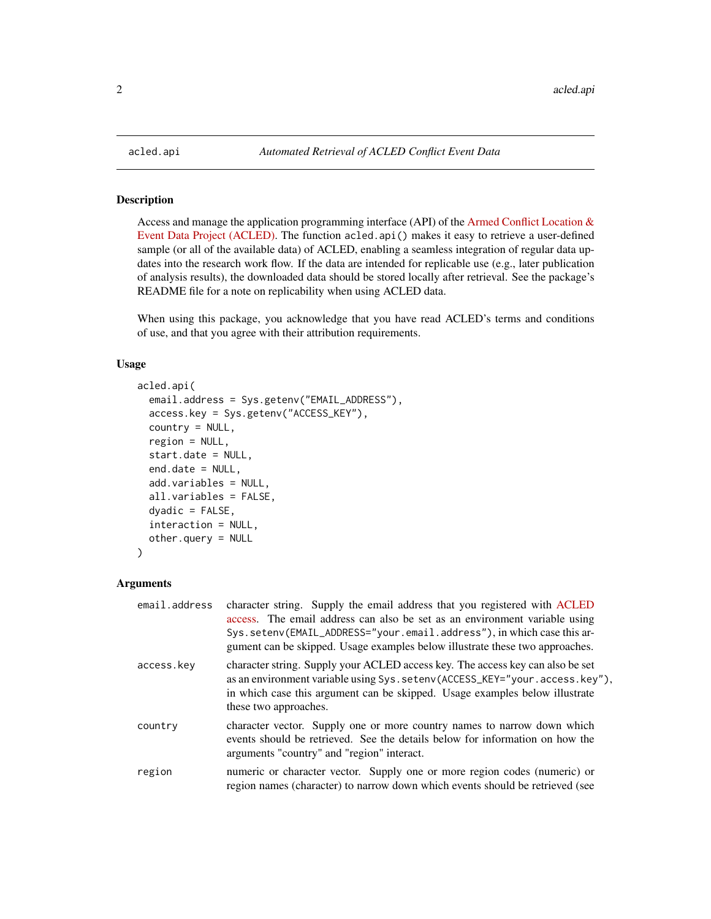#### Description

Access and manage the application programming interface (API) of the [Armed Conflict Location &](https://acleddata.com/) [Event Data Project \(ACLED\).](https://acleddata.com/) The function acled.api() makes it easy to retrieve a user-defined sample (or all of the available data) of ACLED, enabling a seamless integration of regular data updates into the research work flow. If the data are intended for replicable use (e.g., later publication of analysis results), the downloaded data should be stored locally after retrieval. See the package's README file for a note on replicability when using ACLED data.

When using this package, you acknowledge that you have read ACLED's terms and conditions of use, and that you agree with their attribution requirements.

#### Usage

```
acled.api(
  email.address = Sys.getenv("EMAIL_ADDRESS"),
  access.key = Sys.getenv("ACCESS_KEY"),
  country = NULL,
  region = NULL,
  start.date = NULL,
  end.date = NULL,
  add.variables = NULL,
  all.variables = FALSE,
  dyadic = FALSE,interaction = NULL,
  other.query = NULL
)
```
#### Arguments

| email.address | character string. Supply the email address that you registered with ACLED<br>access. The email address can also be set as an environment variable using<br>Sys.setenv(EMAIL_ADDRESS="your.email.address"), in which case this ar-<br>gument can be skipped. Usage examples below illustrate these two approaches. |
|---------------|-------------------------------------------------------------------------------------------------------------------------------------------------------------------------------------------------------------------------------------------------------------------------------------------------------------------|
| access.key    | character string. Supply your ACLED access key. The access key can also be set<br>as an environment variable using Sys. setenv(ACCESS_KEY="your.access.key"),<br>in which case this argument can be skipped. Usage examples below illustrate<br>these two approaches.                                             |
| country       | character vector. Supply one or more country names to narrow down which<br>events should be retrieved. See the details below for information on how the<br>arguments "country" and "region" interact.                                                                                                             |
| region        | numeric or character vector. Supply one or more region codes (numeric) or<br>region names (character) to narrow down which events should be retrieved (see                                                                                                                                                        |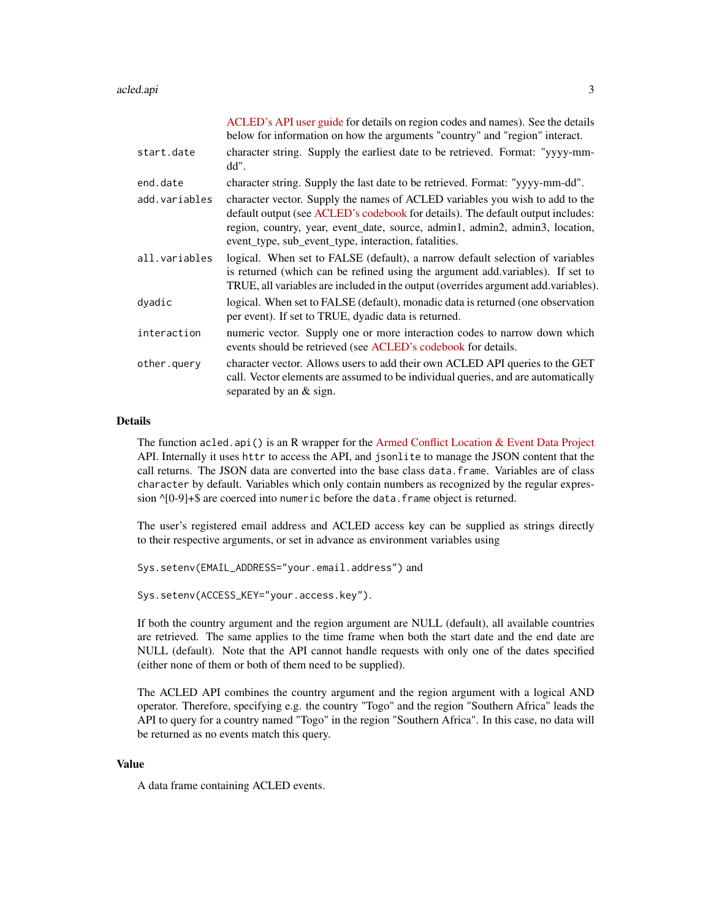#### acled.api 3

|               | ACLED's API user guide for details on region codes and names). See the details<br>below for information on how the arguments "country" and "region" interact.                                                                                                                                           |
|---------------|---------------------------------------------------------------------------------------------------------------------------------------------------------------------------------------------------------------------------------------------------------------------------------------------------------|
| start.date    | character string. Supply the earliest date to be retrieved. Format: "yyyy-mm-<br>dd".                                                                                                                                                                                                                   |
| end.date      | character string. Supply the last date to be retrieved. Format: "yyyy-mm-dd".                                                                                                                                                                                                                           |
| add.variables | character vector. Supply the names of ACLED variables you wish to add to the<br>default output (see ACLED's codebook for details). The default output includes:<br>region, country, year, event_date, source, admin1, admin2, admin3, location,<br>event_type, sub_event_type, interaction, fatalities. |
| all.variables | logical. When set to FALSE (default), a narrow default selection of variables<br>is returned (which can be refined using the argument add variables). If set to<br>TRUE, all variables are included in the output (overrides argument add.variables).                                                   |
| dyadic        | logical. When set to FALSE (default), monadic data is returned (one observation<br>per event). If set to TRUE, dyadic data is returned.                                                                                                                                                                 |
| interaction   | numeric vector. Supply one or more interaction codes to narrow down which<br>events should be retrieved (see ACLED's codebook for details.                                                                                                                                                              |
| other.query   | character vector. Allows users to add their own ACLED API queries to the GET<br>call. Vector elements are assumed to be individual queries, and are automatically<br>separated by an & sign.                                                                                                            |

#### Details

The function acled.api() is an R wrapper for the [Armed Conflict Location & Event Data Project](https://acleddata.com/) API. Internally it uses httr to access the API, and jsonlite to manage the JSON content that the call returns. The JSON data are converted into the base class data.frame. Variables are of class character by default. Variables which only contain numbers as recognized by the regular expression ^[0-9]+\$ are coerced into numeric before the data.frame object is returned.

The user's registered email address and ACLED access key can be supplied as strings directly to their respective arguments, or set in advance as environment variables using

Sys.setenv(EMAIL\_ADDRESS="your.email.address") and

Sys.setenv(ACCESS\_KEY="your.access.key").

If both the country argument and the region argument are NULL (default), all available countries are retrieved. The same applies to the time frame when both the start date and the end date are NULL (default). Note that the API cannot handle requests with only one of the dates specified (either none of them or both of them need to be supplied).

The ACLED API combines the country argument and the region argument with a logical AND operator. Therefore, specifying e.g. the country "Togo" and the region "Southern Africa" leads the API to query for a country named "Togo" in the region "Southern Africa". In this case, no data will be returned as no events match this query.

#### Value

A data frame containing ACLED events.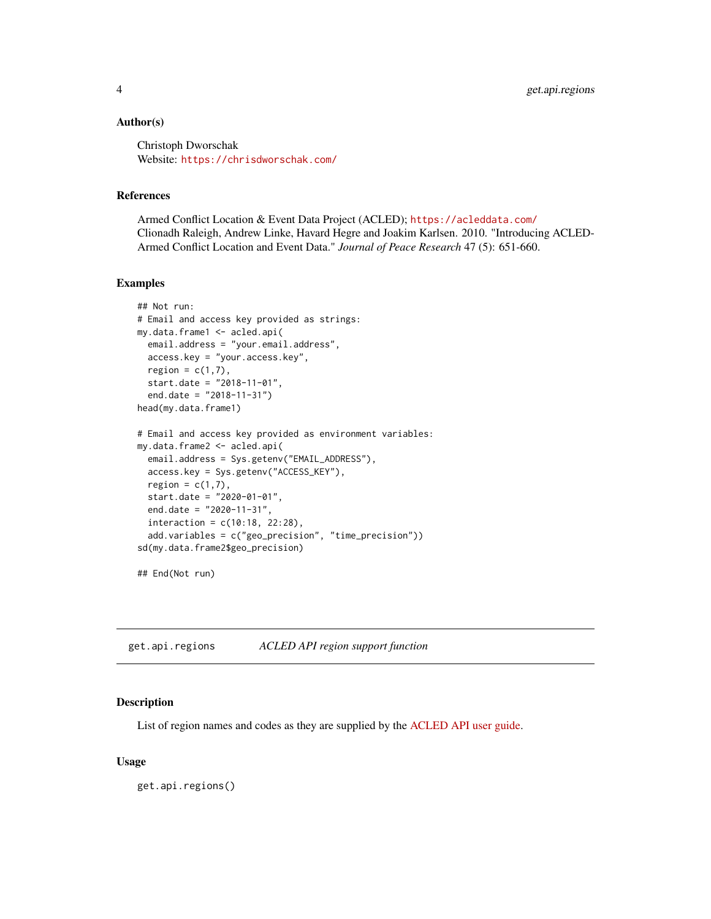#### <span id="page-3-0"></span>Author(s)

Christoph Dworschak Website: [https://chrisdworschak.com/](https://www.chrisdworschak.com/)

#### References

Armed Conflict Location & Event Data Project (ACLED); <https://acleddata.com/> Clionadh Raleigh, Andrew Linke, Havard Hegre and Joakim Karlsen. 2010. "Introducing ACLED-Armed Conflict Location and Event Data." *Journal of Peace Research* 47 (5): 651-660.

#### Examples

```
## Not run:
# Email and access key provided as strings:
my.data.frame1 <- acled.api(
 email.address = "your.email.address",
 access.key = "your.access.key",
  region = c(1,7),
  start.date = "2018-11-01",
  end.date = "2018-11-31")
head(my.data.frame1)
# Email and access key provided as environment variables:
my.data.frame2 <- acled.api(
  email.address = Sys.getenv("EMAIL_ADDRESS"),
  access.key = Sys.getenv("ACCESS_KEY"),
  region = c(1,7),
  start.date = "2020-01-01",
  end.date = "2020-11-31",
  interaction = c(10:18, 22:28),
  add.variables = c("geo_precision", "time_precision"))
sd(my.data.frame2$geo_precision)
```
## End(Not run)

get.api.regions *ACLED API region support function*

#### Description

List of region names and codes as they are supplied by the [ACLED API user guide.](https://acleddata.com/resources/general-guides/)

#### Usage

get.api.regions()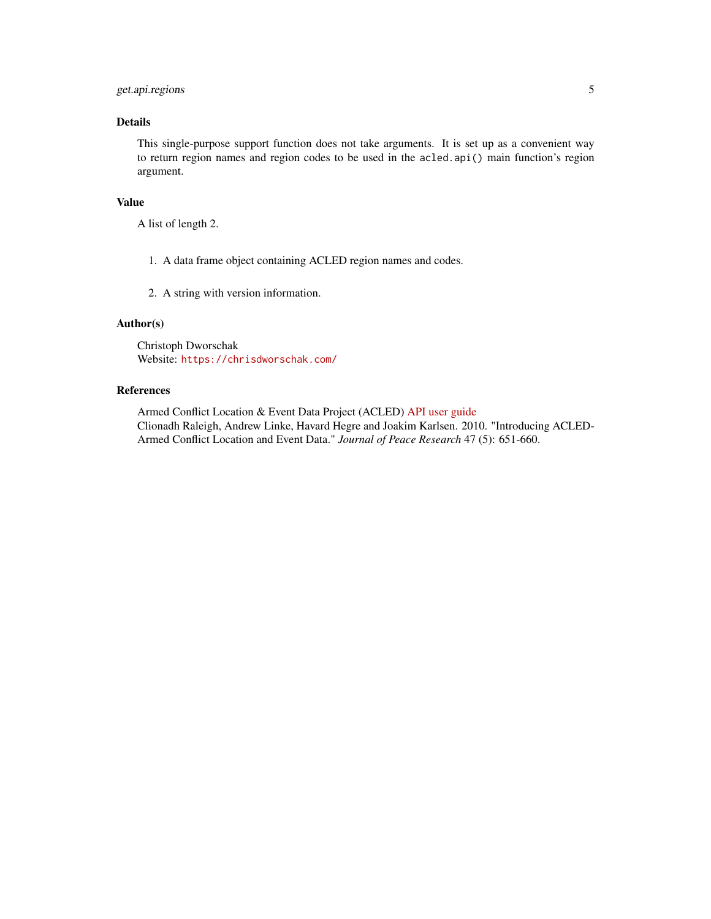#### get.api.regions 5

#### Details

This single-purpose support function does not take arguments. It is set up as a convenient way to return region names and region codes to be used in the acled.api() main function's region argument.

#### Value

A list of length 2.

- 1. A data frame object containing ACLED region names and codes.
- 2. A string with version information.

#### Author(s)

Christoph Dworschak Website: [https://chrisdworschak.com/](https://www.chrisdworschak.com/)

#### References

Armed Conflict Location & Event Data Project (ACLED) [API user guide](https://acleddata.com/resources/general-guides/) Clionadh Raleigh, Andrew Linke, Havard Hegre and Joakim Karlsen. 2010. "Introducing ACLED-Armed Conflict Location and Event Data." *Journal of Peace Research* 47 (5): 651-660.